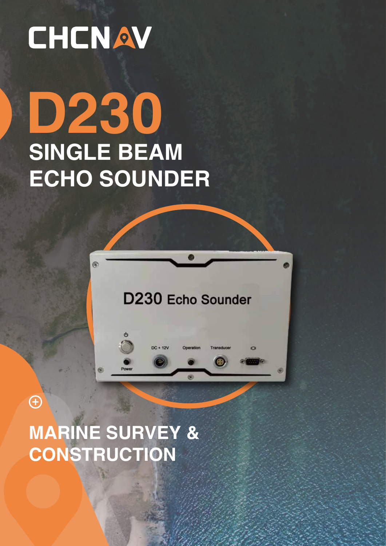## CHCNAV

# **SINGLE BEAM ECHO SOUNDER D230**



**MARINE SURVEY & CONSTRUCTION**

E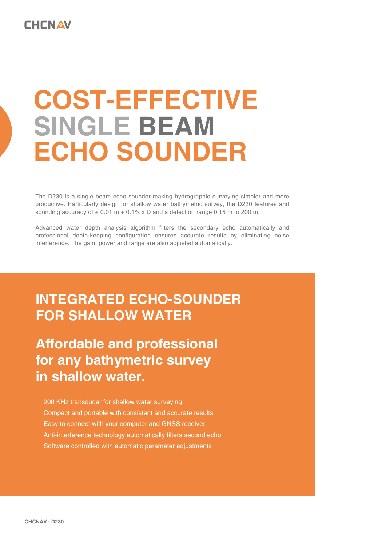## **COST-EFFECTIVE ECHO SOUNDER SINGLE BEAM**

The D230 is a single beam echo sounder making hydrographic surveying simpler and more productive. Particularly design for shallow water bathymetric survey, the D230 features and sounding accuracy of  $\pm$  0.01 m + 0.1% x D and a detection range 0.15 m to 200 m.

Advanced water depth analysis algorithm filters the secondary echo automatically and professional depth-keeping configuration ensures accurate results by eliminating noise interference. The gain, power and range are also adjusted automatically.

### **INTEGRATED ECHO-SOUNDER FOR SHALLOW WATER**

### **Affordable and professional for any bathymetric survey in shallow water.**

- · 200 KHz transducer for shallow water surveying
- · Compact and portable with consistent and accurate results
- · Easy to connect with your computer and GNSS receiver
- · Anti-interference technology automatically filters second echo
- · Software controlled with automatic parameter adjustments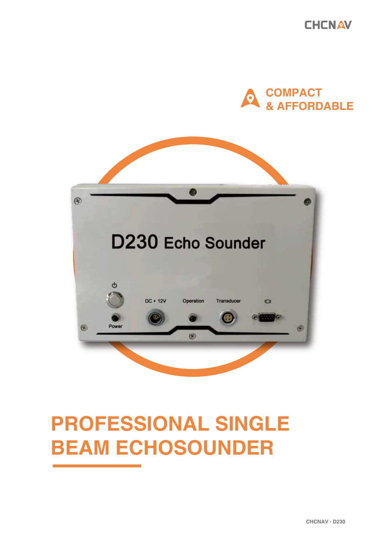**CHCNAV** 





### **PROFESSIONAL SINGLE BEAM ECHOSOUNDER**